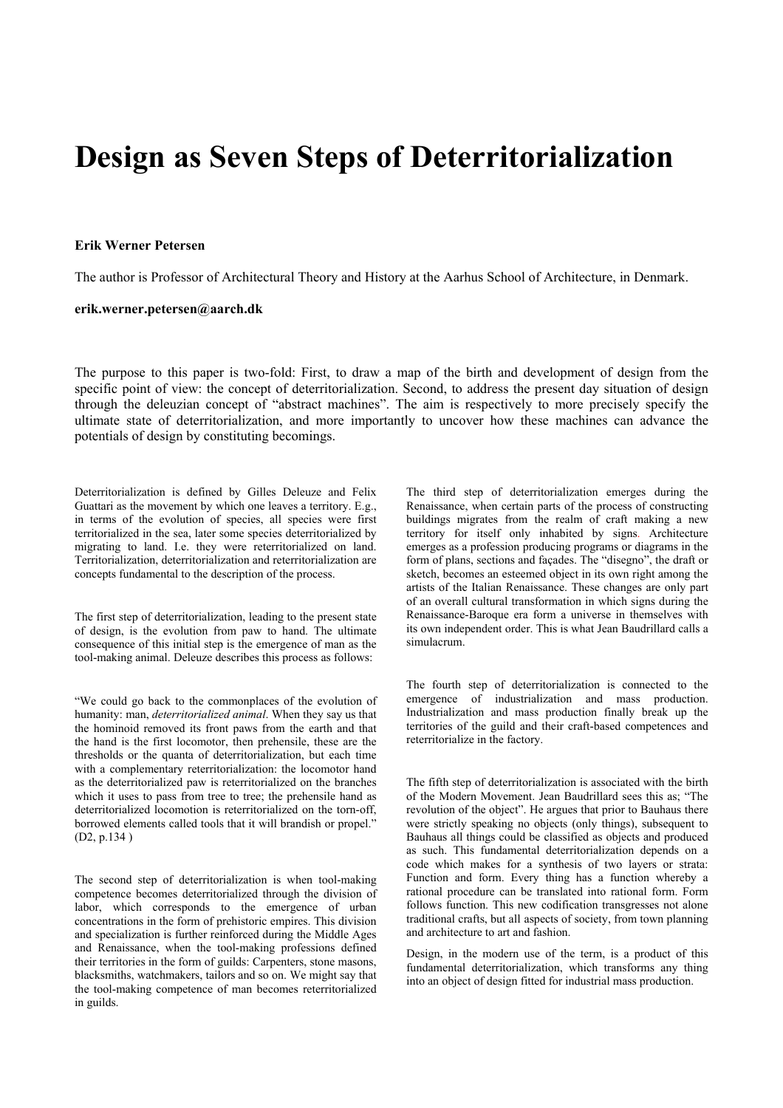## **Design as Seven Steps of Deterritorialization**

## **Erik Werner Petersen**

The author is Professor of Architectural Theory and History at the Aarhus School of Architecture, in Denmark.

## **erik.werner.petersen@aarch.dk**

The purpose to this paper is two-fold: First, to draw a map of the birth and development of design from the specific point of view: the concept of deterritorialization. Second, to address the present day situation of design through the deleuzian concept of "abstract machines". The aim is respectively to more precisely specify the ultimate state of deterritorialization, and more importantly to uncover how these machines can advance the potentials of design by constituting becomings.

Deterritorialization is defined by Gilles Deleuze and Felix Guattari as the movement by which one leaves a territory. E.g., in terms of the evolution of species, all species were first territorialized in the sea, later some species deterritorialized by migrating to land. I.e. they were reterritorialized on land. Territorialization, deterritorialization and reterritorialization are concepts fundamental to the description of the process.

The first step of deterritorialization, leading to the present state of design, is the evolution from paw to hand. The ultimate consequence of this initial step is the emergence of man as the tool-making animal. Deleuze describes this process as follows:

"We could go back to the commonplaces of the evolution of humanity: man, *deterritorialized animal*. When they say us that the hominoid removed its front paws from the earth and that the hand is the first locomotor, then prehensile, these are the thresholds or the quanta of deterritorialization, but each time with a complementary reterritorialization: the locomotor hand as the deterritorialized paw is reterritorialized on the branches which it uses to pass from tree to tree; the prehensile hand as deterritorialized locomotion is reterritorialized on the torn-off, borrowed elements called tools that it will brandish or propel." (D2, p.134 )

The second step of deterritorialization is when tool-making competence becomes deterritorialized through the division of labor, which corresponds to the emergence of urban concentrations in the form of prehistoric empires. This division and specialization is further reinforced during the Middle Ages and Renaissance, when the tool-making professions defined their territories in the form of guilds: Carpenters, stone masons, blacksmiths, watchmakers, tailors and so on. We might say that the tool-making competence of man becomes reterritorialized in guilds.

The third step of deterritorialization emerges during the Renaissance, when certain parts of the process of constructing buildings migrates from the realm of craft making a new territory for itself only inhabited by signs. Architecture emerges as a profession producing programs or diagrams in the form of plans, sections and façades. The "disegno", the draft or sketch, becomes an esteemed object in its own right among the artists of the Italian Renaissance. These changes are only part of an overall cultural transformation in which signs during the Renaissance-Baroque era form a universe in themselves with its own independent order. This is what Jean Baudrillard calls a simulacrum.

The fourth step of deterritorialization is connected to the emergence of industrialization and mass production. Industrialization and mass production finally break up the territories of the guild and their craft-based competences and reterritorialize in the factory.

The fifth step of deterritorialization is associated with the birth of the Modern Movement. Jean Baudrillard sees this as; "The revolution of the object". He argues that prior to Bauhaus there were strictly speaking no objects (only things), subsequent to Bauhaus all things could be classified as objects and produced as such. This fundamental deterritorialization depends on a code which makes for a synthesis of two layers or strata: Function and form. Every thing has a function whereby a rational procedure can be translated into rational form. Form follows function. This new codification transgresses not alone traditional crafts, but all aspects of society, from town planning and architecture to art and fashion.

Design, in the modern use of the term, is a product of this fundamental deterritorialization, which transforms any thing into an object of design fitted for industrial mass production.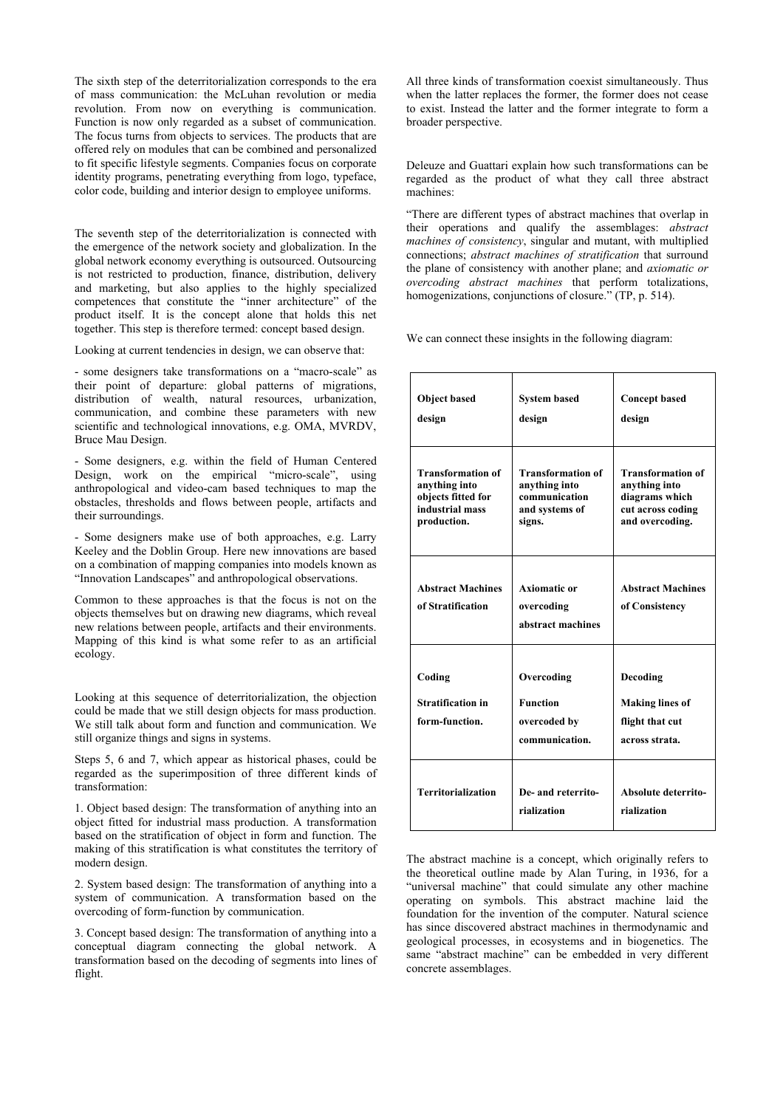The sixth step of the deterritorialization corresponds to the era of mass communication: the McLuhan revolution or media revolution. From now on everything is communication. Function is now only regarded as a subset of communication. The focus turns from objects to services. The products that are offered rely on modules that can be combined and personalized to fit specific lifestyle segments. Companies focus on corporate identity programs, penetrating everything from logo, typeface, color code, building and interior design to employee uniforms.

The seventh step of the deterritorialization is connected with the emergence of the network society and globalization. In the global network economy everything is outsourced. Outsourcing is not restricted to production, finance, distribution, delivery and marketing, but also applies to the highly specialized competences that constitute the "inner architecture" of the product itself. It is the concept alone that holds this net together. This step is therefore termed: concept based design.

Looking at current tendencies in design, we can observe that:

- some designers take transformations on a "macro-scale" as their point of departure: global patterns of migrations, distribution of wealth, natural resources, urbanization, communication, and combine these parameters with new scientific and technological innovations, e.g. OMA, MVRDV, Bruce Mau Design.

- Some designers, e.g. within the field of Human Centered Design, work on the empirical "micro-scale", using anthropological and video-cam based techniques to map the obstacles, thresholds and flows between people, artifacts and their surroundings.

- Some designers make use of both approaches, e.g. Larry Keeley and the Doblin Group. Here new innovations are based on a combination of mapping companies into models known as "Innovation Landscapes" and anthropological observations.

Common to these approaches is that the focus is not on the objects themselves but on drawing new diagrams, which reveal new relations between people, artifacts and their environments. Mapping of this kind is what some refer to as an artificial ecology.

Looking at this sequence of deterritorialization, the objection could be made that we still design objects for mass production. We still talk about form and function and communication. We still organize things and signs in systems.

Steps 5, 6 and 7, which appear as historical phases, could be regarded as the superimposition of three different kinds of transformation:

1. Object based design: The transformation of anything into an object fitted for industrial mass production. A transformation based on the stratification of object in form and function. The making of this stratification is what constitutes the territory of modern design.

2. System based design: The transformation of anything into a system of communication. A transformation based on the overcoding of form-function by communication.

3. Concept based design: The transformation of anything into a conceptual diagram connecting the global network. A transformation based on the decoding of segments into lines of flight.

All three kinds of transformation coexist simultaneously. Thus when the latter replaces the former, the former does not cease to exist. Instead the latter and the former integrate to form a broader perspective.

Deleuze and Guattari explain how such transformations can be regarded as the product of what they call three abstract machines:

"There are different types of abstract machines that overlap in their operations and qualify the assemblages: *abstract machines of consistency*, singular and mutant, with multiplied connections; *abstract machines of stratification* that surround the plane of consistency with another plane; and *axiomatic or overcoding abstract machines* that perform totalizations, homogenizations, conjunctions of closure." (TP, p. 514).

We can connect these insights in the following diagram:

| <b>Object based</b><br>design                                                                     | <b>System based</b><br>design                                                          | <b>Concept based</b><br>design                                                                      |
|---------------------------------------------------------------------------------------------------|----------------------------------------------------------------------------------------|-----------------------------------------------------------------------------------------------------|
| <b>Transformation of</b><br>anything into<br>objects fitted for<br>industrial mass<br>production. | <b>Transformation of</b><br>anything into<br>communication<br>and systems of<br>signs. | <b>Transformation of</b><br>anything into<br>diagrams which<br>cut across coding<br>and overcoding. |
| <b>Abstract Machines</b><br>of Stratification                                                     | <b>Axiomatic or</b><br>overcoding<br>abstract machines                                 | <b>Abstract Machines</b><br>of Consistency                                                          |
| Coding<br><b>Stratification in</b><br>form-function.                                              | Overcoding<br><b>Function</b><br>overcoded by<br>communication.                        | Decoding<br><b>Making lines of</b><br>flight that cut<br>across strata.                             |
| <b>Territorialization</b>                                                                         | De- and reterrito-<br>rialization                                                      | Absolute deterrito-<br>rialization                                                                  |

The abstract machine is a concept, which originally refers to the theoretical outline made by Alan Turing, in 1936, for a "universal machine" that could simulate any other machine operating on symbols. This abstract machine laid the foundation for the invention of the computer. Natural science has since discovered abstract machines in thermodynamic and geological processes, in ecosystems and in biogenetics. The same "abstract machine" can be embedded in very different concrete assemblages.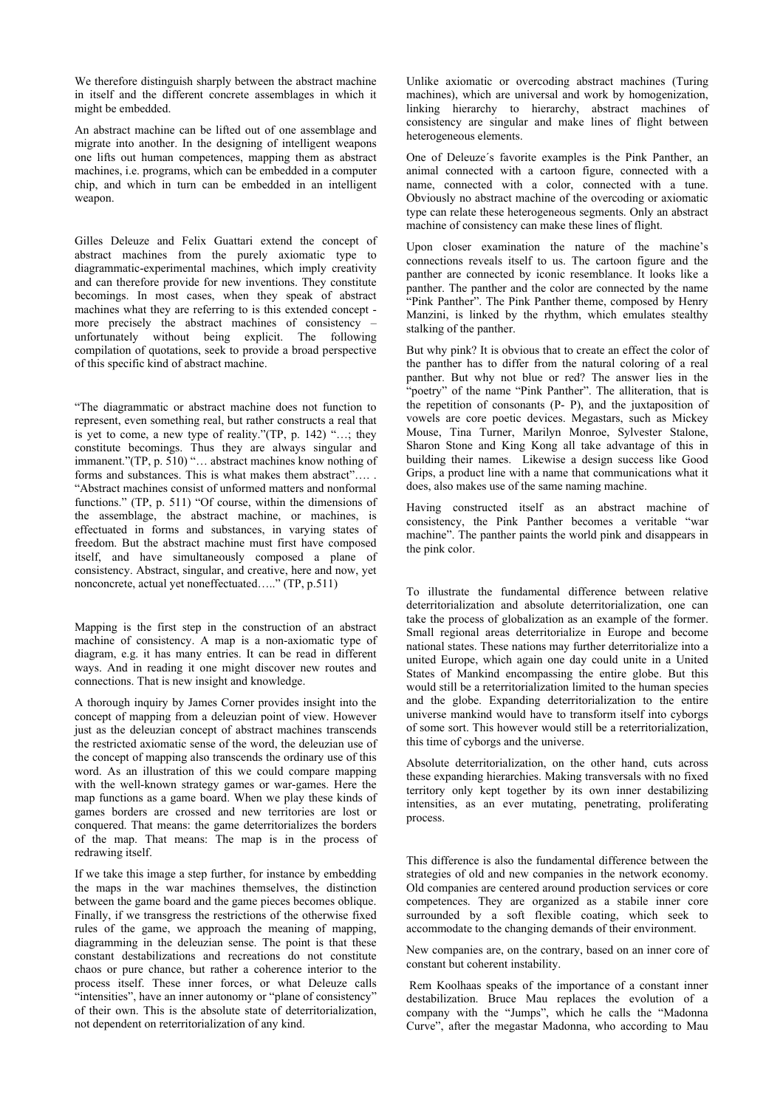We therefore distinguish sharply between the abstract machine in itself and the different concrete assemblages in which it might be embedded.

An abstract machine can be lifted out of one assemblage and migrate into another. In the designing of intelligent weapons one lifts out human competences, mapping them as abstract machines, i.e. programs, which can be embedded in a computer chip, and which in turn can be embedded in an intelligent weapon.

Gilles Deleuze and Felix Guattari extend the concept of abstract machines from the purely axiomatic type to diagrammatic-experimental machines, which imply creativity and can therefore provide for new inventions. They constitute becomings. In most cases, when they speak of abstract machines what they are referring to is this extended concept more precisely the abstract machines of consistency – unfortunately without being explicit. The following compilation of quotations, seek to provide a broad perspective of this specific kind of abstract machine.

"The diagrammatic or abstract machine does not function to represent, even something real, but rather constructs a real that is yet to come, a new type of reality."(TP, p. 142) "…; they constitute becomings. Thus they are always singular and immanent."(TP, p. 510) "… abstract machines know nothing of forms and substances. This is what makes them abstract"…. . "Abstract machines consist of unformed matters and nonformal functions." (TP, p. 511) "Of course, within the dimensions of the assemblage, the abstract machine, or machines, is effectuated in forms and substances, in varying states of freedom. But the abstract machine must first have composed itself, and have simultaneously composed a plane of consistency. Abstract, singular, and creative, here and now, yet nonconcrete, actual yet noneffectuated….." (TP, p.511)

Mapping is the first step in the construction of an abstract machine of consistency. A map is a non-axiomatic type of diagram, e.g. it has many entries. It can be read in different ways. And in reading it one might discover new routes and connections. That is new insight and knowledge.

A thorough inquiry by James Corner provides insight into the concept of mapping from a deleuzian point of view. However just as the deleuzian concept of abstract machines transcends the restricted axiomatic sense of the word, the deleuzian use of the concept of mapping also transcends the ordinary use of this word. As an illustration of this we could compare mapping with the well-known strategy games or war-games. Here the map functions as a game board. When we play these kinds of games borders are crossed and new territories are lost or conquered. That means: the game deterritorializes the borders of the map. That means: The map is in the process of redrawing itself.

If we take this image a step further, for instance by embedding the maps in the war machines themselves, the distinction between the game board and the game pieces becomes oblique. Finally, if we transgress the restrictions of the otherwise fixed rules of the game, we approach the meaning of mapping, diagramming in the deleuzian sense. The point is that these constant destabilizations and recreations do not constitute chaos or pure chance, but rather a coherence interior to the process itself. These inner forces, or what Deleuze calls "intensities", have an inner autonomy or "plane of consistency" of their own. This is the absolute state of deterritorialization, not dependent on reterritorialization of any kind.

Unlike axiomatic or overcoding abstract machines (Turing machines), which are universal and work by homogenization, linking hierarchy to hierarchy, abstract machines of consistency are singular and make lines of flight between heterogeneous elements.

One of Deleuze´s favorite examples is the Pink Panther, an animal connected with a cartoon figure, connected with a name, connected with a color, connected with a tune. Obviously no abstract machine of the overcoding or axiomatic type can relate these heterogeneous segments. Only an abstract machine of consistency can make these lines of flight.

Upon closer examination the nature of the machine's connections reveals itself to us. The cartoon figure and the panther are connected by iconic resemblance. It looks like a panther. The panther and the color are connected by the name "Pink Panther". The Pink Panther theme, composed by Henry Manzini, is linked by the rhythm, which emulates stealthy stalking of the panther.

But why pink? It is obvious that to create an effect the color of the panther has to differ from the natural coloring of a real panther. But why not blue or red? The answer lies in the "poetry" of the name "Pink Panther". The alliteration, that is the repetition of consonants (P- P), and the juxtaposition of vowels are core poetic devices. Megastars, such as Mickey Mouse, Tina Turner, Marilyn Monroe, Sylvester Stalone, Sharon Stone and King Kong all take advantage of this in building their names. Likewise a design success like Good Grips, a product line with a name that communications what it does, also makes use of the same naming machine.

Having constructed itself as an abstract machine of consistency, the Pink Panther becomes a veritable "war machine". The panther paints the world pink and disappears in the pink color.

To illustrate the fundamental difference between relative deterritorialization and absolute deterritorialization, one can take the process of globalization as an example of the former. Small regional areas deterritorialize in Europe and become national states. These nations may further deterritorialize into a united Europe, which again one day could unite in a United States of Mankind encompassing the entire globe. But this would still be a reterritorialization limited to the human species and the globe. Expanding deterritorialization to the entire universe mankind would have to transform itself into cyborgs of some sort. This however would still be a reterritorialization, this time of cyborgs and the universe.

Absolute deterritorialization, on the other hand, cuts across these expanding hierarchies. Making transversals with no fixed territory only kept together by its own inner destabilizing intensities, as an ever mutating, penetrating, proliferating process.

This difference is also the fundamental difference between the strategies of old and new companies in the network economy. Old companies are centered around production services or core competences. They are organized as a stabile inner core surrounded by a soft flexible coating, which seek to accommodate to the changing demands of their environment.

New companies are, on the contrary, based on an inner core of constant but coherent instability.

 Rem Koolhaas speaks of the importance of a constant inner destabilization. Bruce Mau replaces the evolution of a company with the "Jumps", which he calls the "Madonna Curve", after the megastar Madonna, who according to Mau